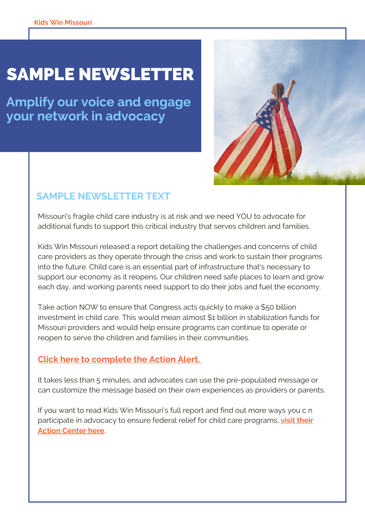# **SAMPLE NEWSLETTER**

**Amplify our voice and engage your network in advocacy**



# **SAMPLE NEWSLETTER TEXT**

Missouri's fragile child care industry is at risk and we need YOU to advocate for additional funds to support this critical industry that serves children and families.

Kids Win Missouri released a report detailing the challenges and concerns of child care providers as they operate through the crisis and work to sustain their programs into the future. Child care is an essential part of infrastructure that's necessary to support our economy as it reopens. Our children need safe places to learn and grow each day, and working parents need support to do their jobs and fuel the economy.

Take action NOW to ensure that Congress acts quickly to make a \$50 billion investment in child care. This would mean almost \$1 billion in stabilization funds for Missouri providers and would help ensure programs can continue to operate or reopen to serve the children and families in their communities.

### **Click here to [complete](https://bit.ly/2BoYO67) the Action Alert[.](https://bit.ly/2BoYO67)**

It takes less than 5 minutes, and advocates can use the pre-populated message or can customize the message based on their own experiences as providers or parents.

If you want to read Kids Win Missouri's full report and find out more ways you c n [participate](http://kidswinmissouri.org/home/childcarerelief/) in advocacy to ensure federal relief for child care programs, **visit their Action Center here.**